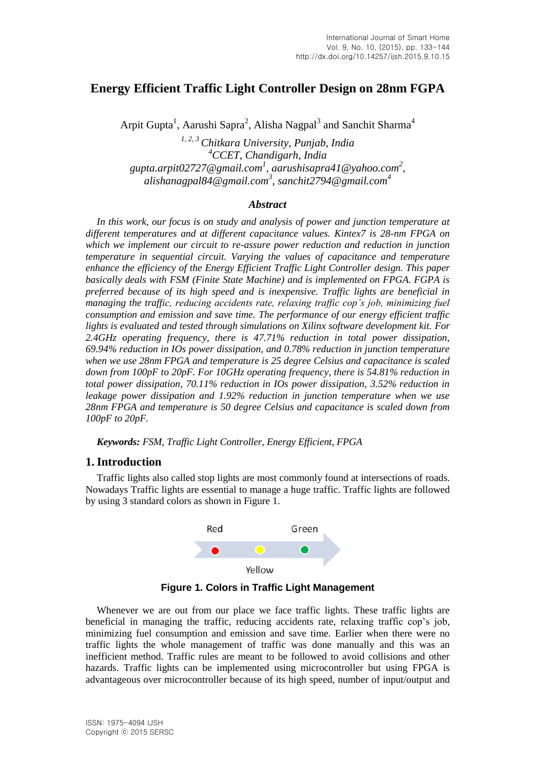# **Energy Efficient Traffic Light Controller Design on 28nm FGPA**

Arpit Gupta<sup>1</sup>, Aarushi Sapra<sup>2</sup>, Alisha Nagpal<sup>3</sup> and Sanchit Sharma<sup>4</sup>

*1, 2, 3 Chitkara University, Punjab, India <sup>4</sup>CCET, Chandigarh, India gupta.arpit02727@gmail.com<sup>1</sup> , aarushisapra41@yahoo.com<sup>2</sup> , alishanagpal84@gmail.com<sup>3</sup> , sanchit2794@gmail.com<sup>4</sup>*

#### *Abstract*

*In this work, our focus is on study and analysis of power and junction temperature at different temperatures and at different capacitance values. Kintex7 is 28-nm FPGA on which we implement our circuit to re-assure power reduction and reduction in junction temperature in sequential circuit. Varying the values of capacitance and temperature enhance the efficiency of the Energy Efficient Traffic Light Controller design. This paper basically deals with FSM (Finite State Machine) and is implemented on FPGA. FGPA is preferred because of its high speed and is inexpensive. Traffic lights are beneficial in managing the traffic, reducing accidents rate, relaxing traffic cop's job, minimizing fuel consumption and emission and save time. The performance of our energy efficient traffic lights is evaluated and tested through simulations on Xilinx software development kit. For 2.4GHz operating frequency, there is 47.71% reduction in total power dissipation, 69.94% reduction in IOs power dissipation, and 0.78% reduction in junction temperature when we use 28nm FPGA and temperature is 25 degree Celsius and capacitance is scaled down from 100pF to 20pF. For 10GHz operating frequency, there is 54.81% reduction in total power dissipation, 70.11% reduction in IOs power dissipation, 3.52% reduction in leakage power dissipation and 1.92% reduction in junction temperature when we use 28nm FPGA and temperature is 50 degree Celsius and capacitance is scaled down from 100pF to 20pF.*

*Keywords: FSM, Traffic Light Controller, Energy Efficient, FPGA*

## **1. Introduction**

Traffic lights also called stop lights are most commonly found at intersections of roads. Nowadays Traffic lights are essential to manage a huge traffic. Traffic lights are followed by using 3 standard colors as shown in Figure 1.



**Figure 1. Colors in Traffic Light Management**

Whenever we are out from our place we face traffic lights. These traffic lights are beneficial in managing the traffic, reducing accidents rate, relaxing traffic cop's job, minimizing fuel consumption and emission and save time. Earlier when there were no traffic lights the whole management of traffic was done manually and this was an inefficient method. Traffic rules are meant to be followed to avoid collisions and other hazards. Traffic lights can be implemented using microcontroller but using FPGA is advantageous over microcontroller because of its high speed, number of input/output and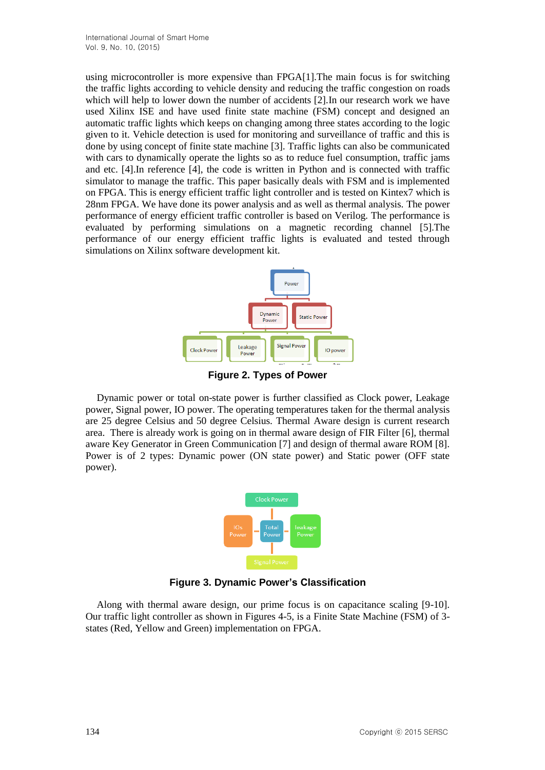using microcontroller is more expensive than FPGA[1].The main focus is for switching the traffic lights according to vehicle density and reducing the traffic congestion on roads which will help to lower down the number of accidents [2]. In our research work we have used Xilinx ISE and have used finite state machine (FSM) concept and designed an automatic traffic lights which keeps on changing among three states according to the logic given to it. Vehicle detection is used for monitoring and surveillance of traffic and this is done by using concept of finite state machine [3]. Traffic lights can also be communicated with cars to dynamically operate the lights so as to reduce fuel consumption, traffic jams and etc. [4].In reference [4], the code is written in Python and is connected with traffic simulator to manage the traffic. This paper basically deals with FSM and is implemented on FPGA. This is energy efficient traffic light controller and is tested on Kintex7 which is 28nm FPGA. We have done its power analysis and as well as thermal analysis. The power performance of energy efficient traffic controller is based on Verilog. The performance is evaluated by performing simulations on a magnetic recording channel [5].The performance of our energy efficient traffic lights is evaluated and tested through simulations on Xilinx software development kit.



**Figure 2. Types of Power**

Dynamic power or total on-state power is further classified as Clock power, Leakage power, Signal power, IO power. The operating temperatures taken for the thermal analysis are 25 degree Celsius and 50 degree Celsius. Thermal Aware design is current research area. There is already work is going on in thermal aware design of FIR Filter [6], thermal aware Key Generator in Green Communication [7] and design of thermal aware ROM [8]. Power is of 2 types: Dynamic power (ON state power) and Static power (OFF state power).



**Figure 3. Dynamic Power's Classification**

Along with thermal aware design, our prime focus is on capacitance scaling [9-10]. Our traffic light controller as shown in Figures 4-5, is a Finite State Machine (FSM) of 3 states (Red, Yellow and Green) implementation on FPGA.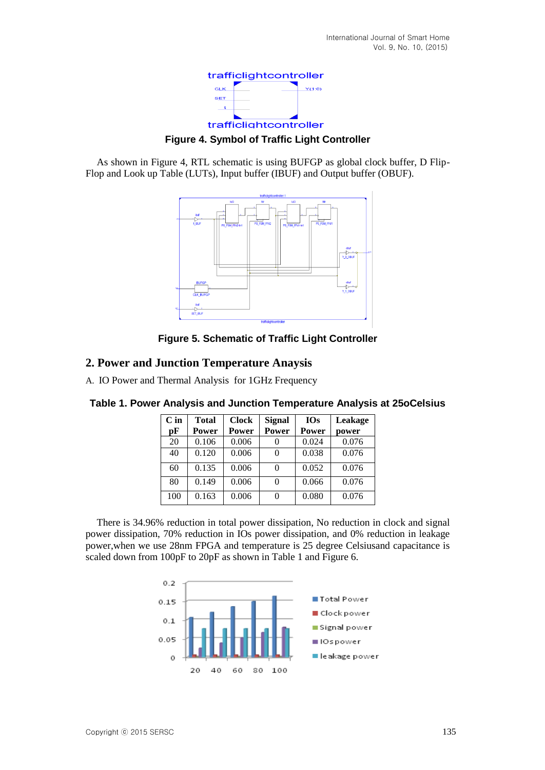

**Figure 4. Symbol of Traffic Light Controller**

As shown in Figure 4, RTL schematic is using BUFGP as global clock buffer, D Flip-Flop and Look up Table (LUTs), Input buffer (IBUF) and Output buffer (OBUF).



**Figure 5. Schematic of Traffic Light Controller**

## **2. Power and Junction Temperature Anaysis**

A. IO Power and Thermal Analysis for 1GHz Frequency

| $C$ in | <b>Total</b> | <b>Clock</b> | <b>Signal</b> | <b>IOs</b> | Leakage |
|--------|--------------|--------------|---------------|------------|---------|
| pF     | Power        | Power        | Power         | Power      | power   |
| 20     | 0.106        | 0.006        |               | 0.024      | 0.076   |
| 40     | 0.120        | 0.006        |               | 0.038      | 0.076   |
| 60     | 0.135        | 0.006        |               | 0.052      | 0.076   |
| 80     | 0.149        | 0.006        |               | 0.066      | 0.076   |
| 100    | 0.163        | 0.006        | 0             | 0.080      | 0.076   |

**Table 1. Power Analysis and Junction Temperature Analysis at 25oCelsius**

There is 34.96% reduction in total power dissipation, No reduction in clock and signal power dissipation, 70% reduction in IOs power dissipation, and 0% reduction in leakage power,when we use 28nm FPGA and temperature is 25 degree Celsiusand capacitance is scaled down from 100pF to 20pF as shown in Table 1 and Figure 6.

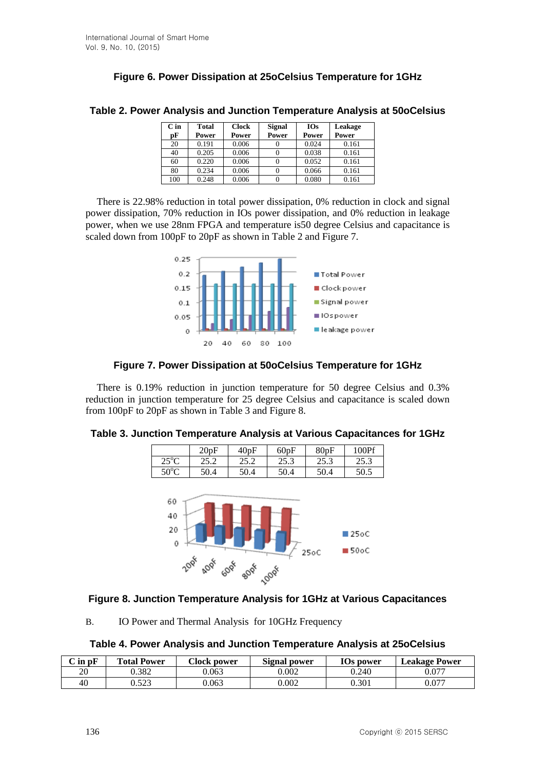## **Figure 6. Power Dissipation at 25oCelsius Temperature for 1GHz**

| $C$ in | <b>Total</b> | <b>Clock</b> | <b>Signal</b> | <b>IOs</b> | Leakage |
|--------|--------------|--------------|---------------|------------|---------|
| рF     | Power        | Power        | Power         | Power      | Power   |
| 20     | 0.191        | 0.006        |               | 0.024      | 0.161   |
| 40     | 0.205        | 0.006        |               | 0.038      | 0.161   |
| 60     | 0.220        | 0.006        |               | 0.052      | 0.161   |
| 80     | 0.234        | 0.006        |               | 0.066      | 0.161   |
| 100    | 0.248        | 0.006        |               | 0.080      | 0.161   |

#### **Table 2. Power Analysis and Junction Temperature Analysis at 50oCelsius**

There is 22.98% reduction in total power dissipation, 0% reduction in clock and signal power dissipation, 70% reduction in IOs power dissipation, and 0% reduction in leakage power, when we use 28nm FPGA and temperature is50 degree Celsius and capacitance is scaled down from 100pF to 20pF as shown in Table 2 and Figure 7.



### **Figure 7. Power Dissipation at 50oCelsius Temperature for 1GHz**

There is 0.19% reduction in junction temperature for 50 degree Celsius and 0.3% reduction in junction temperature for 25 degree Celsius and capacitance is scaled down from 100pF to 20pF as shown in Table 3 and Figure 8.

#### **Table 3. Junction Temperature Analysis at Various Capacitances for 1GHz**

|                        | 20pF  | 40pF         | 60pF | 80pF | 100Pf |
|------------------------|-------|--------------|------|------|-------|
| $25^{\circ}C$<br>ر ے   | ے ۔ ب | つち つ<br>2J.Z | 25.3 | 25.3 | 25.3  |
| 500 <sub>C</sub><br>υU | 50.4  | 50.4         | 50.4 | 50.4 | 50.5  |



## **Figure 8. Junction Temperature Analysis for 1GHz at Various Capacitances**

B. IO Power and Thermal Analysis for 10GHz Frequency

#### **Table 4. Power Analysis and Junction Temperature Analysis at 25oCelsius**

| $C$ in $pF$ | <b>Total Power</b> | Clock power | <b>Signal power</b> | IOs power | <b>Leakage Power</b> |
|-------------|--------------------|-------------|---------------------|-----------|----------------------|
| 20          | 0.382              | J.063       | $0.002\,$           | 0.240     | 0.077                |
| 40          | 522<br>ت کے ل      | 0.063       | 0.002               | 0.301     | 0.077                |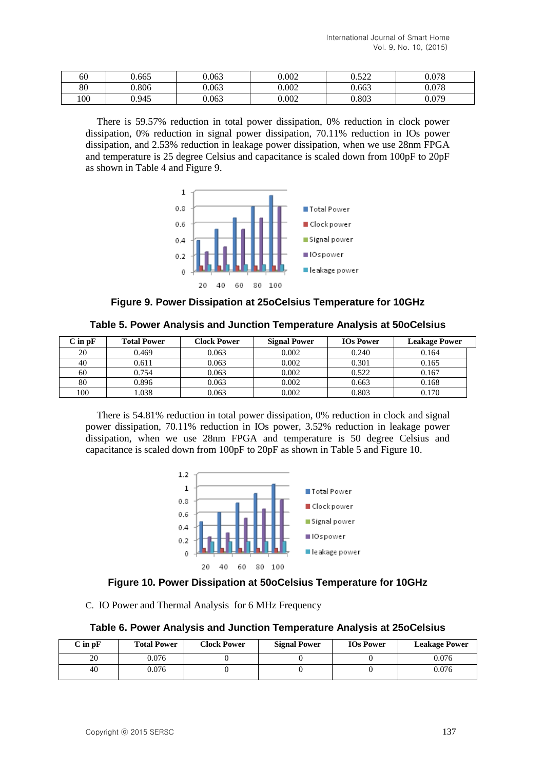| 60  | 0.665 | 0.063 | 0.002 | ስ ደኅኅ<br>0.J <i>LL</i> | 0.078 |
|-----|-------|-------|-------|------------------------|-------|
| 80  | 0.806 | 0.063 | 0.002 | 0.663                  | 0.078 |
| 100 | 0.945 | 0.063 | 0.002 | 0.803                  | 0.079 |

There is 59.57% reduction in total power dissipation, 0% reduction in clock power dissipation, 0% reduction in signal power dissipation, 70.11% reduction in IOs power dissipation, and 2.53% reduction in leakage power dissipation, when we use 28nm FPGA and temperature is 25 degree Celsius and capacitance is scaled down from 100pF to 20pF as shown in Table 4 and Figure 9.



**Figure 9. Power Dissipation at 25oCelsius Temperature for 10GHz**

**Table 5. Power Analysis and Junction Temperature Analysis at 50oCelsius** 

| $C$ in $pF$ | <b>Total Power</b> | <b>Clock Power</b> | <b>Signal Power</b> | <b>IOs Power</b> | <b>Leakage Power</b> |
|-------------|--------------------|--------------------|---------------------|------------------|----------------------|
| 20          | 0.469              | 0.063              | 0.002               | 0.240            | 0.164                |
| 40          | 0.611              | 0.063              | 0.002               | 0.301            | 0.165                |
| 60          | 0.754              | 0.063              | 0.002               | 0.522            | 0.167                |
| 80          | 0.896              | 0.063              | 0.002               | 0.663            | 0.168                |
| 100         | .038               | 0.063              | 0.002               | 0.803            | 0.170                |

There is 54.81% reduction in total power dissipation, 0% reduction in clock and signal power dissipation, 70.11% reduction in IOs power, 3.52% reduction in leakage power dissipation, when we use 28nm FPGA and temperature is 50 degree Celsius and capacitance is scaled down from 100pF to 20pF as shown in Table 5 and Figure 10.



#### **Figure 10. Power Dissipation at 50oCelsius Temperature for 10GHz**

C. IO Power and Thermal Analysis for 6 MHz Frequency

#### **Table 6. Power Analysis and Junction Temperature Analysis at 25oCelsius**

| $\bf C$ in $\bf p \bf F$ | <b>Total Power</b> | <b>Clock Power</b> | <b>Signal Power</b> | <b>IOs Power</b> | <b>Leakage Power</b> |
|--------------------------|--------------------|--------------------|---------------------|------------------|----------------------|
| 20                       | 0.076              |                    |                     |                  | 0.076                |
| 40                       | 0.076              |                    |                     |                  | 0.076                |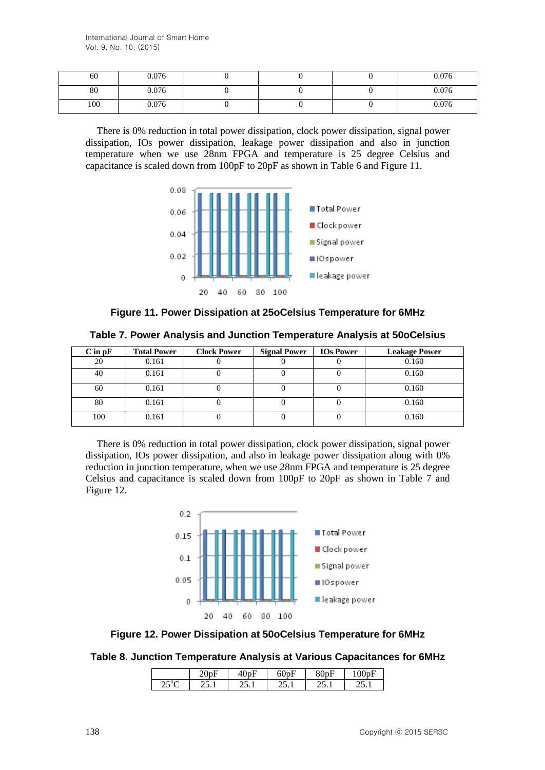| 60  | 0.076 |  | 0.076 |
|-----|-------|--|-------|
| 80  | 0.076 |  | 0.076 |
| 100 | 0.076 |  | 0.076 |

There is 0% reduction in total power dissipation, clock power dissipation, signal power dissipation, IOs power dissipation, leakage power dissipation and also in junction temperature when we use 28nm FPGA and temperature is 25 degree Celsius and capacitance is scaled down from 100pF to 20pF as shown in Table 6 and Figure 11.



**Figure 11. Power Dissipation at 25oCelsius Temperature for 6MHz**

**Table 7. Power Analysis and Junction Temperature Analysis at 50oCelsius**

| $C$ in $pF$ | <b>Total Power</b> | <b>Clock Power</b> | <b>Signal Power</b> | <b>IOs Power</b> | <b>Leakage Power</b> |
|-------------|--------------------|--------------------|---------------------|------------------|----------------------|
| 20          | 0.161              |                    |                     |                  | 0.160                |
| 40          | 0.161              |                    |                     |                  | 0.160                |
| 60          | 0.161              |                    |                     |                  | 0.160                |
| 80          | 0.161              |                    |                     |                  | 0.160                |
| 100         | 0.161              |                    |                     |                  | 0.160                |

There is 0% reduction in total power dissipation, clock power dissipation, signal power dissipation, IOs power dissipation, and also in leakage power dissipation along with 0% reduction in junction temperature, when we use 28nm FPGA and temperature is 25 degree Celsius and capacitance is scaled down from 100pF to 20pF as shown in Table 7 and Figure 12.





#### **Table 8. Junction Temperature Analysis at Various Capacitances for 6MHz**

|                         | ∠∪∪⊥<br>-                   | בטי<br>τν | 50pF  | 80pF  | mF<br>100<br>נען |
|-------------------------|-----------------------------|-----------|-------|-------|------------------|
| $\cap E^{0}$<br>ر_<br>◟ | $\sim$ $\sim$ $\sim$ $\sim$ | 20. L     | 20. L | ∠J. 1 | ه د ب            |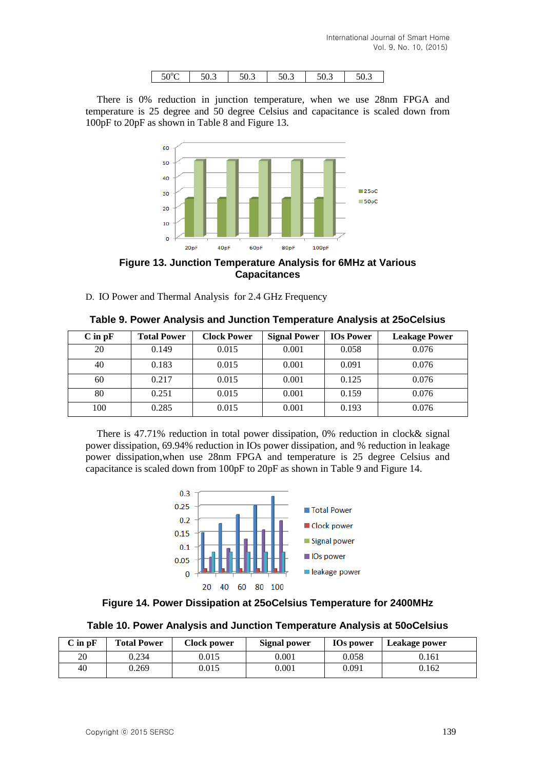| $50^{\circ}$ C | JV.J | $\sim$ $\sim$<br>JU.J | $\sim$ $\sim$<br>50.3 | ٣Λ<br>50.3 | JU.J |
|----------------|------|-----------------------|-----------------------|------------|------|

There is 0% reduction in junction temperature, when we use 28nm FPGA and temperature is 25 degree and 50 degree Celsius and capacitance is scaled down from 100pF to 20pF as shown in Table 8 and Figure 13.



**Figure 13. Junction Temperature Analysis for 6MHz at Various Capacitances**

D. IO Power and Thermal Analysis for 2.4 GHz Frequency

| $C$ in $pF$ | <b>Total Power</b> | <b>Clock Power</b> | <b>Signal Power</b> | <b>IOs Power</b> | <b>Leakage Power</b> |
|-------------|--------------------|--------------------|---------------------|------------------|----------------------|
| 20          | 0.149              | 0.015              | 0.001               | 0.058            | 0.076                |
| 40          | 0.183              | 0.015              | 0.001               | 0.091            | 0.076                |
| 60          | 0.217              | 0.015              | 0.001               | 0.125            | 0.076                |
| 80          | 0.251              | 0.015              | 0.001               | 0.159            | 0.076                |
| 100         | 0.285              | 0.015              | 0.001               | 0.193            | 0.076                |

**Table 9. Power Analysis and Junction Temperature Analysis at 25oCelsius**

There is 47.71% reduction in total power dissipation, 0% reduction in clock& signal power dissipation, 69.94% reduction in IOs power dissipation, and % reduction in leakage power dissipation,when use 28nm FPGA and temperature is 25 degree Celsius and capacitance is scaled down from 100pF to 20pF as shown in Table 9 and Figure 14.



**Figure 14. Power Dissipation at 25oCelsius Temperature for 2400MHz**

**Table 10. Power Analysis and Junction Temperature Analysis at 50oCelsius**

| $C$ in $pF$ | <b>Total Power</b> | <b>Clock power</b> | <b>Signal power</b> | <b>IOs power</b> | Leakage power |
|-------------|--------------------|--------------------|---------------------|------------------|---------------|
| 20          | 0.234              | 0.015              | 0.001               | 0.058            | 0.161         |
| 40          | 0.269              | 0.015              | 0.001               | 0.091            | 0.162         |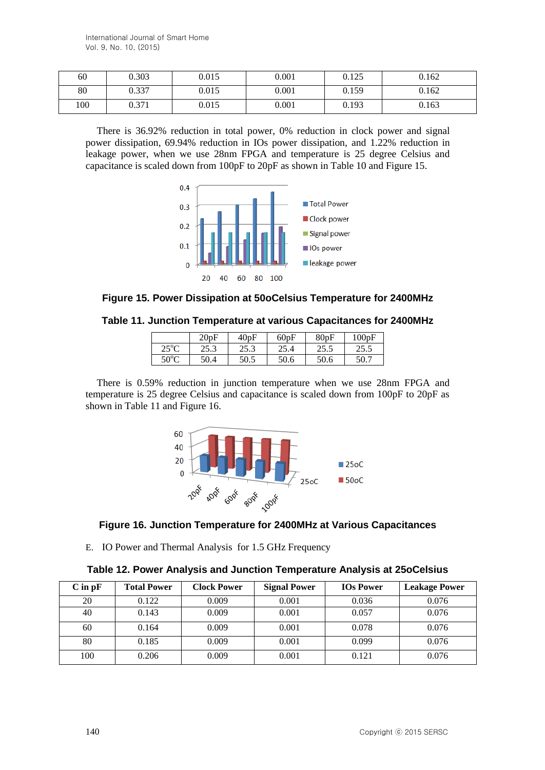| 60  | 0.303 | 0.015 | 0.001 | 0.125 | 0.162 |
|-----|-------|-------|-------|-------|-------|
| 80  | 0.337 | 0.015 | 0.001 | 0.159 | 0.162 |
| 100 | 0.371 | 0.015 | 0.001 | 0.193 | 0.163 |

There is 36.92% reduction in total power, 0% reduction in clock power and signal power dissipation, 69.94% reduction in IOs power dissipation, and 1.22% reduction in leakage power, when we use 28nm FPGA and temperature is 25 degree Celsius and capacitance is scaled down from 100pF to 20pF as shown in Table 10 and Figure 15.



**Figure 15. Power Dissipation at 50oCelsius Temperature for 2400MHz**

**Table 11. Junction Temperature at various Capacitances for 2400MHz**

|                                  | 20pF         | 40pF        | 60pF       | 80pF         | 100pF |
|----------------------------------|--------------|-------------|------------|--------------|-------|
| ר $^{\circ}$ ר $^{\circ}$<br>رے  | ר זר<br>29.S | າະາ<br>29.S | 25<br>25.4 | つく く<br>د.د. | 25.5  |
| $\epsilon \wedge^0 \wedge$<br>υc | 50.4         | 50.5        | 50.6       | 50.6         | 50.7  |

There is 0.59% reduction in junction temperature when we use 28nm FPGA and temperature is 25 degree Celsius and capacitance is scaled down from 100pF to 20pF as shown in Table 11 and Figure 16.



## **Figure 16. Junction Temperature for 2400MHz at Various Capacitances**

E. IO Power and Thermal Analysis for 1.5 GHz Frequency

| $C$ in $pF$ | <b>Total Power</b> | <b>Clock Power</b> | <b>Signal Power</b> | <b>IOs Power</b> | <b>Leakage Power</b> |
|-------------|--------------------|--------------------|---------------------|------------------|----------------------|
| 20          | 0.122              | 0.009              | 0.001               | 0.036            | 0.076                |
| 40          | 0.143              | 0.009              | 0.001               | 0.057            | 0.076                |
| 60          | 0.164              | 0.009              | 0.001               | 0.078            | 0.076                |
| 80          | 0.185              | 0.009              | 0.001               | 0.099            | 0.076                |
| 100         | 0.206              | 0.009              | 0.001               | 0.121            | 0.076                |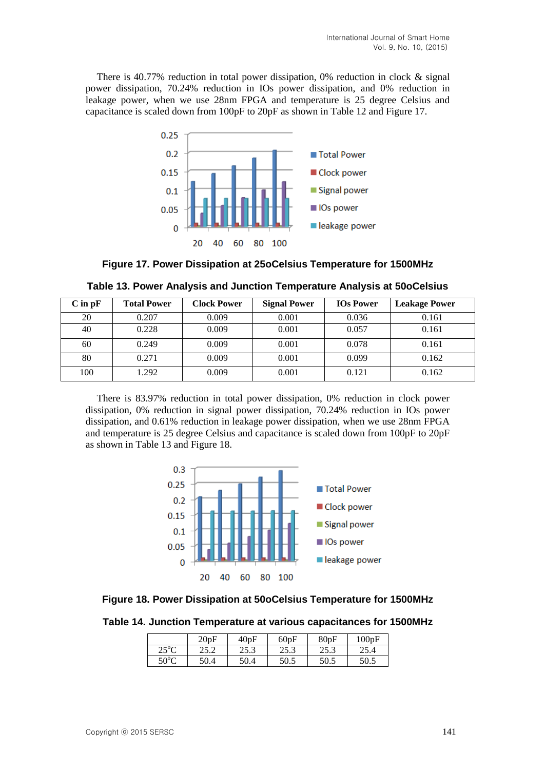There is 40.77% reduction in total power dissipation, 0% reduction in clock  $\&$  signal power dissipation, 70.24% reduction in IOs power dissipation, and 0% reduction in leakage power, when we use 28nm FPGA and temperature is 25 degree Celsius and capacitance is scaled down from 100pF to 20pF as shown in Table 12 and Figure 17.



**Figure 17. Power Dissipation at 25oCelsius Temperature for 1500MHz**

| $C$ in $pF$ | <b>Total Power</b> | <b>Clock Power</b> | <b>Signal Power</b> | <b>IOs Power</b> | <b>Leakage Power</b> |
|-------------|--------------------|--------------------|---------------------|------------------|----------------------|
| 20          | 0.207              | 0.009              | 0.001               | 0.036            | 0.161                |
| 40          | 0.228              | 0.009              | 0.001               | 0.057            | 0.161                |
| 60          | 0.249              | 0.009              | 0.001               | 0.078            | 0.161                |
| 80          | 0.271              | 0.009              | 0.001               | 0.099            | 0.162                |
| 100         | 1.292              | 0.009              | 0.001               | 0.121            | 0.162                |

| Table 13. Power Analysis and Junction Temperature Analysis at 50oCelsius |  |
|--------------------------------------------------------------------------|--|
|--------------------------------------------------------------------------|--|

There is 83.97% reduction in total power dissipation, 0% reduction in clock power dissipation, 0% reduction in signal power dissipation, 70.24% reduction in IOs power dissipation, and 0.61% reduction in leakage power dissipation, when we use 28nm FPGA and temperature is 25 degree Celsius and capacitance is scaled down from 100pF to 20pF as shown in Table 13 and Figure 18.



#### **Figure 18. Power Dissipation at 50oCelsius Temperature for 1500MHz**

**Table 14. Junction Temperature at various capacitances for 1500MHz**

|                | 20pF | 40pF | 60pF | 80pF | 100pF |
|----------------|------|------|------|------|-------|
| $25^{\circ}$ C | 25.2 | 25.3 | 25.3 | 25.3 | 25.4  |
| $50^{\circ}$ C | 50.4 | 50.4 | 50.5 | 50.5 | 50.5  |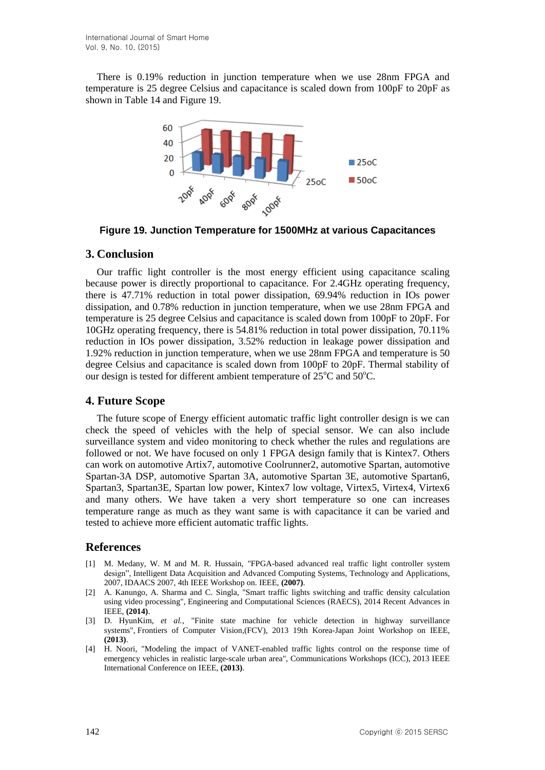There is 0.19% reduction in junction temperature when we use 28nm FPGA and temperature is 25 degree Celsius and capacitance is scaled down from 100pF to 20pF as shown in Table 14 and Figure 19.



**Figure 19. Junction Temperature for 1500MHz at various Capacitances**

## **3. Conclusion**

Our traffic light controller is the most energy efficient using capacitance scaling because power is directly proportional to capacitance. For 2.4GHz operating frequency, there is 47.71% reduction in total power dissipation, 69.94% reduction in IOs power dissipation, and 0.78% reduction in junction temperature, when we use 28nm FPGA and temperature is 25 degree Celsius and capacitance is scaled down from 100pF to 20pF. For 10GHz operating frequency, there is 54.81% reduction in total power dissipation, 70.11% reduction in IOs power dissipation, 3.52% reduction in leakage power dissipation and 1.92% reduction in junction temperature, when we use 28nm FPGA and temperature is 50 degree Celsius and capacitance is scaled down from 100pF to 20pF. Thermal stability of our design is tested for different ambient temperature of  $25^{\circ}$ C and  $50^{\circ}$ C.

## **4. Future Scope**

The future scope of Energy efficient automatic traffic light controller design is we can check the speed of vehicles with the help of special sensor. We can also include surveillance system and video monitoring to check whether the rules and regulations are followed or not. We have focused on only 1 FPGA design family that is Kintex7. Others can work on automotive Artix7, automotive Coolrunner2, automotive Spartan, automotive Spartan-3A DSP, automotive Spartan 3A, automotive Spartan 3E, automotive Spartan6, Spartan3, Spartan3E, Spartan low power, Kintex7 low voltage, Virtex5, Virtex4, Virtex6 and many others. We have taken a very short temperature so one can increases temperature range as much as they want same is with capacitance it can be varied and tested to achieve more efficient automatic traffic lights.

## **References**

- [1] M. Medany, W. M and M. R. Hussain, "FPGA-based advanced real traffic light controller system design", Intelligent Data Acquisition and Advanced Computing Systems, Technology and Applications, 2007, IDAACS 2007, 4th IEEE Workshop on. IEEE, **(2007)**.
- [2] A. Kanungo, A. Sharma and C. Singla, "Smart traffic lights switching and traffic density calculation using video processing", Engineering and Computational Sciences (RAECS), 2014 Recent Advances in IEEE, **(2014)**.
- [3] D. HyunKim, *et al.*, "Finite state machine for vehicle detection in highway surveillance systems", Frontiers of Computer Vision,(FCV), 2013 19th Korea-Japan Joint Workshop on IEEE, **(2013)**.
- [4] H. Noori, "Modeling the impact of VANET-enabled traffic lights control on the response time of emergency vehicles in realistic large-scale urban area", Communications Workshops (ICC), 2013 IEEE International Conference on IEEE, **(2013)**.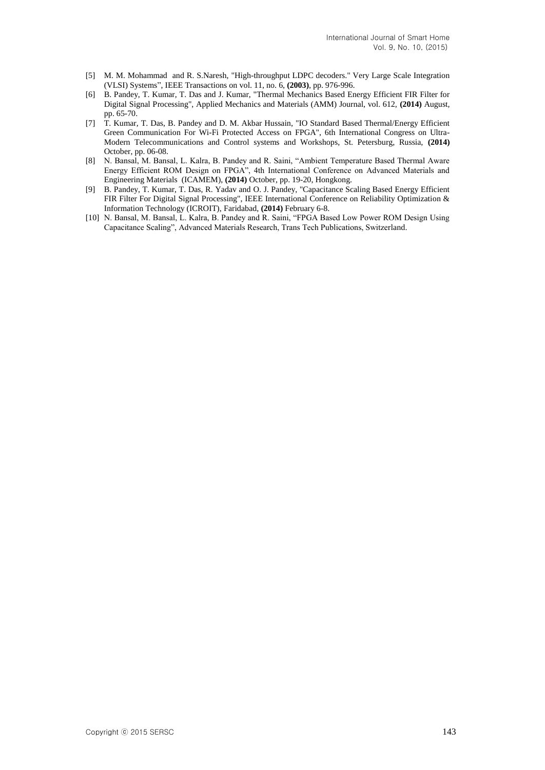- [5] M. M. Mohammad and R. S.Naresh, "High-throughput LDPC decoders." Very Large Scale Integration (VLSI) Systems", IEEE Transactions on vol. 11, no. 6, **(2003)**, pp. 976-996.
- [6] B. Pandey, T. Kumar, T. Das and J. Kumar, "Thermal Mechanics Based Energy Efficient FIR Filter for Digital Signal Processing", Applied Mechanics and Materials (AMM) Journal, vol. 612, **(2014)** August, pp. 65-70.
- [7] T. Kumar, T. Das, B. Pandey and D. M. Akbar Hussain, "IO Standard Based Thermal/Energy Efficient Green Communication For Wi-Fi Protected Access on FPGA", 6th International Congress on Ultra-Modern Telecommunications and Control systems and Workshops, St. Petersburg, Russia, **(2014)** October, pp. 06-08.
- [8] N. Bansal, M. Bansal, L. Kalra, B. Pandey and R. Saini, "Ambient Temperature Based Thermal Aware Energy Efficient ROM Design on FPGA", 4th International Conference on Advanced Materials and Engineering Materials (ICAMEM), **(2014)** October, pp. 19-20, Hongkong.
- [9] B. Pandey, T. Kumar, T. Das, R. Yadav and O. J. Pandey, "Capacitance Scaling Based Energy Efficient FIR Filter For Digital Signal Processing", IEEE International Conference on Reliability Optimization & Information Technology (ICROIT), Faridabad, **(2014)** February 6-8.
- [10] N. Bansal, M. Bansal, L. Kalra, B. Pandey and R. Saini, "FPGA Based Low Power ROM Design Using Capacitance Scaling", Advanced Materials Research, Trans Tech Publications, Switzerland.